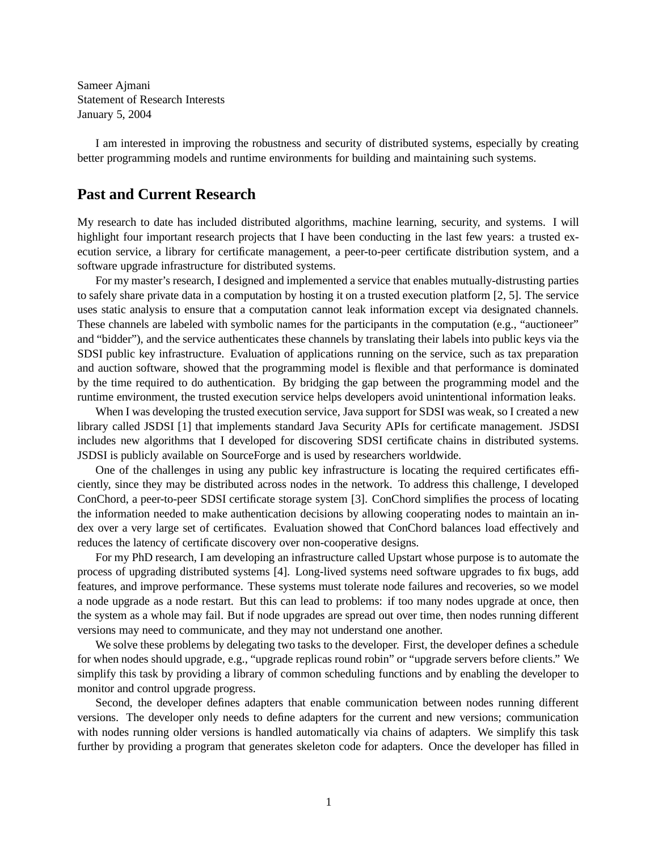Sameer Ajmani Statement of Research Interests January 5, 2004

I am interested in improving the robustness and security of distributed systems, especially by creating better programming models and runtime environments for building and maintaining such systems.

## **Past and Current Research**

My research to date has included distributed algorithms, machine learning, security, and systems. I will highlight four important research projects that I have been conducting in the last few years: a trusted execution service, a library for certificate management, a peer-to-peer certificate distribution system, and a software upgrade infrastructure for distributed systems.

For my master's research, I designed and implemented a service that enables mutually-distrusting parties to safely share private data in a computation by hosting it on a trusted execution platform [2, 5]. The service uses static analysis to ensure that a computation cannot leak information except via designated channels. These channels are labeled with symbolic names for the participants in the computation (e.g., "auctioneer" and "bidder"), and the service authenticates these channels by translating their labels into public keys via the SDSI public key infrastructure. Evaluation of applications running on the service, such as tax preparation and auction software, showed that the programming model is flexible and that performance is dominated by the time required to do authentication. By bridging the gap between the programming model and the runtime environment, the trusted execution service helps developers avoid unintentional information leaks.

When I was developing the trusted execution service, Java support for SDSI was weak, so I created a new library called JSDSI [1] that implements standard Java Security APIs for certificate management. JSDSI includes new algorithms that I developed for discovering SDSI certificate chains in distributed systems. JSDSI is publicly available on SourceForge and is used by researchers worldwide.

One of the challenges in using any public key infrastructure is locating the required certificates efficiently, since they may be distributed across nodes in the network. To address this challenge, I developed ConChord, a peer-to-peer SDSI certificate storage system [3]. ConChord simplifies the process of locating the information needed to make authentication decisions by allowing cooperating nodes to maintain an index over a very large set of certificates. Evaluation showed that ConChord balances load effectively and reduces the latency of certificate discovery over non-cooperative designs.

For my PhD research, I am developing an infrastructure called Upstart whose purpose is to automate the process of upgrading distributed systems [4]. Long-lived systems need software upgrades to fix bugs, add features, and improve performance. These systems must tolerate node failures and recoveries, so we model a node upgrade as a node restart. But this can lead to problems: if too many nodes upgrade at once, then the system as a whole may fail. But if node upgrades are spread out over time, then nodes running different versions may need to communicate, and they may not understand one another.

We solve these problems by delegating two tasks to the developer. First, the developer defines a schedule for when nodes should upgrade, e.g., "upgrade replicas round robin" or "upgrade servers before clients." We simplify this task by providing a library of common scheduling functions and by enabling the developer to monitor and control upgrade progress.

Second, the developer defines adapters that enable communication between nodes running different versions. The developer only needs to define adapters for the current and new versions; communication with nodes running older versions is handled automatically via chains of adapters. We simplify this task further by providing a program that generates skeleton code for adapters. Once the developer has filled in